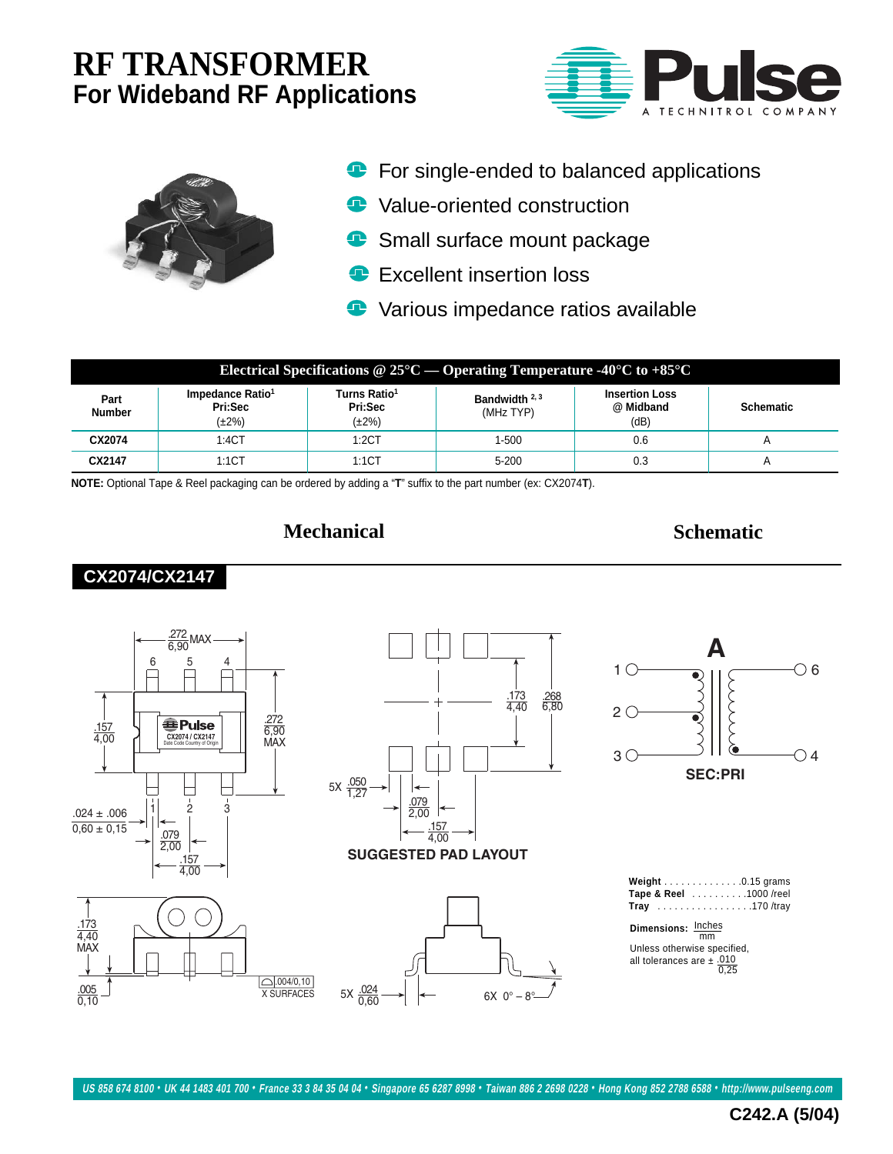# **RF TRANSFORMER For Wideband RF Applications**





- **•** For single-ended to balanced applications
- **P** Value-oriented construction
- Small surface mount package  $\bullet$
- **Excellent insertion loss**
- **•** Various impedance ratios available

| Electrical Specifications @ $25^{\circ}\text{C}$ — Operating Temperature -40 <sup>o</sup> C to +85 <sup>o</sup> C |                                                        |                                                    |                              |                                            |                  |  |  |  |  |
|-------------------------------------------------------------------------------------------------------------------|--------------------------------------------------------|----------------------------------------------------|------------------------------|--------------------------------------------|------------------|--|--|--|--|
| Part<br><b>Number</b>                                                                                             | Impedance Ratio <sup>1</sup><br>Pri:Sec<br>$(\pm 2\%)$ | Turns Ratio <sup>1</sup><br>Pri:Sec<br>$(\pm 2\%)$ | Bandwidth $2,3$<br>(MHz TYP) | <b>Insertion Loss</b><br>@ Midband<br>(dB) | <b>Schematic</b> |  |  |  |  |
| CX2074                                                                                                            | 1:4CT                                                  | 1:2CT                                              | $1 - 500$                    | 0.6                                        |                  |  |  |  |  |
| CX2147                                                                                                            | 1:1CT                                                  | 1:1CT                                              | $5 - 200$                    | 0.3                                        |                  |  |  |  |  |

**NOTE:** Optional Tape & Reel packaging can be ordered by adding a "**T**" suffix to the part number (ex: CX2074**T**).

## **Mechanical Schematic**













| Weight $\ldots$ 0.15 grams |
|----------------------------|
| Tape & Reel 1000 /reel     |
| Tray 170/tray              |

**Dimensions:** Inches mm

Unless otherwise specified, all tolerances are ± .010<br>0,25

**C242.A (5/04)**